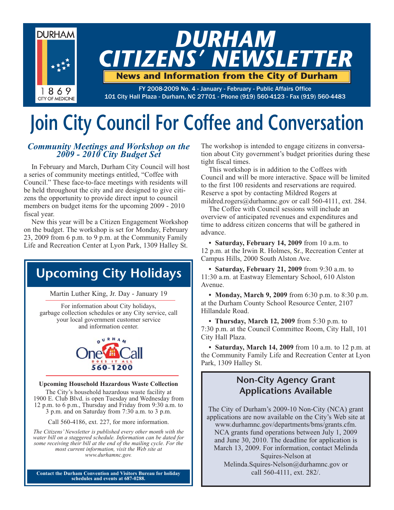

# **Join City Council For Coffee and Conversation**

## *Community Meetings and Workshop on the 2009 - 2010 City Budget Set*

In February and March, Durham City Council will host a series of community meetings entitled, "Coffee with Council." These face-to-face meetings with residents will be held throughout the city and are designed to give citizens the opportunity to provide direct input to council members on budget items for the upcoming 2009 - 2010 fiscal year.

New this year will be a Citizen Engagement Workshop on the budget. The workshop is set for Monday, February 23, 2009 from 6 p.m. to 9 p.m. at the Community Family Life and Recreation Center at Lyon Park, 1309 Halley St.

## **Upcoming City Holidays**

Martin Luther King, Jr. Day - January 19

For information about City holidays, garbage collection schedules or any City service, call your local government customer service and information center.



#### **Upcoming Household Hazardous Waste Collection**

The City's household hazardous waste facility at 1900 E. Club Blvd. is open Tuesday and Wednesday from 12 p.m. to 6 p.m., Thursday and Friday from 9:30 a.m. to 3 p.m. and on Saturday from 7:30 a.m. to 3 p.m.

Call 560-4186, ext. 227, for more information.

*The Citizens' Newsletter is published every other month with the water bill on a staggered schedule. Information can be dated for some receiving their bill at the end of the mailing cycle. For the most current information, visit the Web site at www.durhamnc.gov.*

**Contact the Durham Convention and Visitors Bureau for holiday schedules and events at 687-0288.**

The workshop is intended to engage citizens in conversation about City government's budget priorities during these tight fiscal times.

This workshop is in addition to the Coffees with Council and will be more interactive. Space will be limited to the first 100 residents and reservations are required. Reserve a spot by contacting Mildred Rogers at mildred.rogers@durhamnc.gov or call 560-4111, ext. 284.

The Coffee with Council sessions will include an overview of anticipated revenues and expenditures and time to address citizen concerns that will be gathered in advance.

**• Saturday, February 14, 2009** from 10 a.m. to 12 p.m. at the Irwin R. Holmes, Sr., Recreation Center at Campus Hills, 2000 South Alston Ave.

**• Saturday, February 21, 2009** from 9:30 a.m. to 11:30 a.m. at Eastway Elementary School, 610 Alston Avenue.

**• Monday, March 9, 2009** from 6:30 p.m. to 8:30 p.m. at the Durham County School Resource Center, 2107 Hillandale Road.

**• Thursday, March 12, 2009** from 5:30 p.m. to 7:30 p.m. at the Council Committee Room, City Hall, 101 City Hall Plaza.

**• Saturday, March 14, 2009** from 10 a.m. to 12 p.m. at the Community Family Life and Recreation Center at Lyon Park, 1309 Halley St.

## **Non-City Agency Grant Applications Available**

The City of Durham's 2009-10 Non-City (NCA) grant applications are now available on the City's Web site at www.durhamnc.gov/departments/bms/grants.cfm. NCA grants fund operations between July 1, 2009 and June 30, 2010. The deadline for application is March 13, 2009. For information, contact Melinda Squires-Nelson at Melinda.Squires-Nelson@durhamnc.gov or

call 560-4111, ext. 282/.